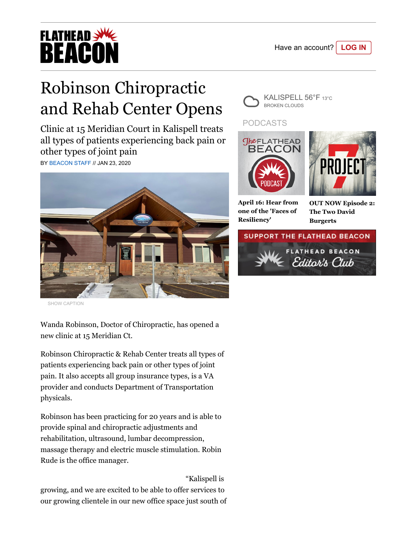

## **FLATHEAD >W BEACOI**

## Robinson Chiropractic and Rehab Center Opens

Clinic at 15 Meridian Court in Kalispell treats all types of patients experiencing back pain or other types of joint pain

BY [BEACON STAFF](https://flatheadbeacon.com/author/flatheadbeacon/) // JAN 23, 2020



SHOW CAPTION

Wanda Robinson, Doctor of Chiropractic, has opened a new clinic at 15 Meridian Ct.

Robinson Chiropractic & Rehab Center treats all types of patients experiencing back pain or other types of joint pain. It also accepts all group insurance types, is a VA provider and conducts Department of Transportation physicals.

Robinson has been practicing for 20 years and is able to provide spinal and chiropractic adjustments and rehabilitation, ultrasound, lumbar decompression, massage therapy and electric muscle stimulation. Robin Rude is the office manager.

"Kalispell is

growing, and we are excited to be able to offer services to our growing clientele in our new office space just south of



## PODCASTS





**[April 16: Hear from](https://flatheadbeacon.com/2020/04/16/podcast-local-covid-19-update-april-14-2/) one of the 'Faces of Resiliency'**

**[OUT NOW Episode 2:](https://project7pod.com/) The Two David Burgerts**